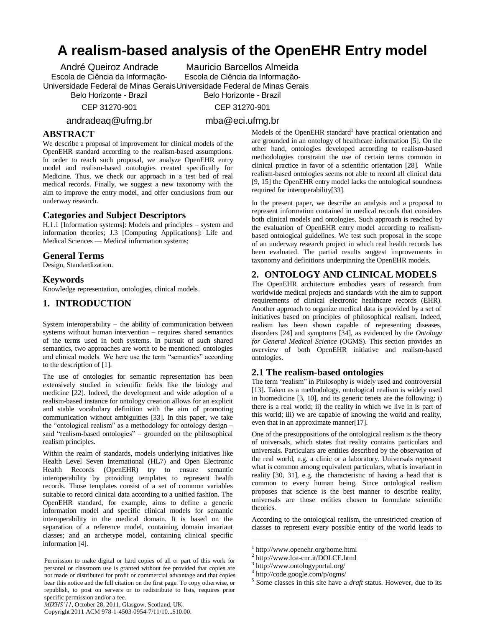# **A realism-based analysis of the OpenEHR Entry model**

André Queiroz Andrade Escola de Ciência da Informação-Universidade Federal de Minas Gerais Universidade Federal de Minas Gerais Mauricio Barcellos Almeida Escola de Ciência da Informação-

Belo Horizonte - Brazil

Belo Horizonte - Brazil CEP 31270-901

andradeaq@ufmg.br

CEP 31270-901

mba@eci.ufmg.br

# **ABSTRACT**

We describe a proposal of improvement for clinical models of the OpenEHR standard according to the realism-based assumptions. In order to reach such proposal, we analyze OpenEHR entry model and realism-based ontologies created specifically for Medicine. Thus, we check our approach in a test bed of real medical records. Finally, we suggest a new taxonomy with the aim to improve the entry model, and offer conclusions from our underway research.

## **Categories and Subject Descriptors**

H.1.1 [Information systems]: Models and principles – system and information theories; J.3 [Computing Applications]: Life and Medical Sciences — Medical information systems;

## **General Terms**

Design, Standardization.

## **Keywords**

Knowledge representation, ontologies, clinical models.

# **1. INTRODUCTION**

System interoperability – the ability of communication between systems without human intervention – requires shared semantics of the terms used in both systems. In pursuit of such shared semantics, two approaches are worth to be mentioned: ontologies and clinical models. We here use the term "semantics" according to the description of [1].

The use of ontologies for semantic representation has been extensively studied in scientific fields like the biology and medicine [22]. Indeed, the development and wide adoption of a realism-based instance for ontology creation allows for an explicit and stable vocabulary definition with the aim of promoting communication without ambiguities [33]. In this paper, we take the "ontological realism" as a methodology for ontology design – said "realism-based ontologies" – grounded on the philosophical realism principles.

Within the realm of standards, models underlying initiatives like Health Level Seven International (HL7) and Open Electronic Health Records (OpenEHR) try to ensure semantic interoperability by providing templates to represent health records. Those templates consist of a set of common variables suitable to record clinical data according to a unified fashion. The OpenEHR standard, for example, aims to define a generic information model and specific clinical models for semantic interoperability in the medical domain. It is based on the separation of a reference model, containing domain invariant classes; and an archetype model, containing clinical specific information [4].

Models of the OpenEHR standard<sup>1</sup> have practical orientation and are grounded in an ontology of healthcare information [5]. On the other hand, ontologies developed according to realism-based methodologies constraint the use of certain terms common in clinical practice in favor of a scientific orientation [28]. While realism-based ontologies seems not able to record all clinical data [9, 15] the OpenEHR entry model lacks the ontological soundness required for interoperability[33].

In the present paper, we describe an analysis and a proposal to represent information contained in medical records that considers both clinical models and ontologies. Such approach is reached by the evaluation of OpenEHR entry model according to realismbased ontological guidelines. We test such proposal in the scope of an underway research project in which real health records has been evaluated. The partial results suggest improvements in taxonomy and definitions underpinning the OpenEHR models.

# **2. ONTOLOGY AND CLINICAL MODELS**

The OpenEHR architecture embodies years of research from worldwide medical projects and standards with the aim to support requirements of clinical electronic healthcare records (EHR). Another approach to organize medical data is provided by a set of initiatives based on principles of philosophical realism. Indeed, realism has been shown capable of representing diseases, disorders [24] and symptoms [34], as evidenced by the *Ontology for General Medical Science* (OGMS). This section provides an overview of both OpenEHR initiative and realism-based ontologies.

#### **2.1 The realism-based ontologies**

The term "realism" in Philosophy is widely used and controversial [13]. Taken as a methodology, ontological realism is widely used in biomedicine [3, 10], and its generic tenets are the following: i) there is a real world; ii) the reality in which we live in is part of this world; iii) we are capable of knowing the world and reality, even that in an approximate manner[17].

One of the presuppositions of the ontological realism is the theory of universals, which states that reality contains particulars and universals. Particulars are entities described by the observation of the real world, e.g. a clinic or a laboratory. Universals represent what is common among equivalent particulars, what is invariant in reality [30, 31], e.g. the characteristic of having a head that is common to every human being. Since ontological realism proposes that science is the best manner to describe reality, universals are those entities chosen to formulate scientific theories.

According to the ontological realism, the unrestricted creation of classes to represent every possible entity of the world leads to

 $\overline{a}$ 

Permission to make digital or hard copies of all or part of this work for personal or classroom use is granted without fee provided that copies are not made or distributed for profit or commercial advantage and that copies bear this notice and the full citation on the first page. To copy otherwise, or republish, to post on servers or to redistribute to lists, requires prior specific permission and/or a fee.

<sup>1</sup> http://www.openehr.org/home.html

<sup>2</sup> http://www.loa-cnr.it/DOLCE.html

<sup>3</sup> http://www.ontologyportal.org/

<sup>4</sup> http://code.google.com/p/ogms/

<sup>5</sup> Some classes in this site have a *draft* status. However, due to its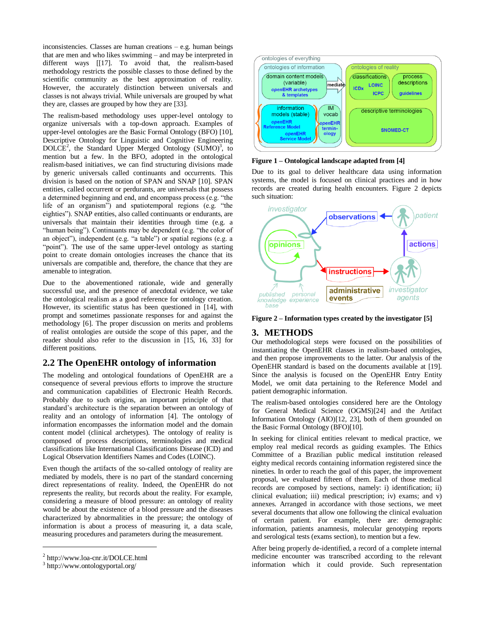inconsistencies. Classes are human creations – e.g. human beings that are men and who likes swimming – and may be interpreted in different ways [[17]. To avoid that, the realism-based methodology restricts the possible classes to those defined by the scientific community as the best approximation of reality. However, the accurately distinction between universals and classes is not always trivial. While universals are grouped by what they are, classes are grouped by how they are [33].

The realism-based methodology uses upper-level ontology to organize universals with a top-down approach. Examples of upper-level ontologies are the Basic Formal Ontology (BFO) [10], Descriptive Ontology for Linguistic and Cognitive Engineering DOLCE<sup>2</sup>, the Standard Upper Merged Ontology (SUMO)<sup>3</sup>, to mention but a few. In the BFO, adopted in the ontological realism-based initiatives, we can find structuring divisions made by generic universals called continuants and occurrents. This division is based on the notion of SPAN and SNAP [10]. SPAN entities, called occurrent or perdurants, are universals that possess a determined beginning and end, and encompass process  $(e.g., "the"$ life of an organism") and spatiotemporal regions (e.g. "the eighties"). SNAP entities, also called continuants or endurants, are universals that maintain their identities through time (e.g. a "human being"). Continuants may be dependent (e.g. "the color of an object"), independent (e.g. "a table") or spatial regions (e.g. a "point"). The use of the same upper-level ontology as starting point to create domain ontologies increases the chance that its universals are compatible and, therefore, the chance that they are amenable to integration.

Due to the abovementioned rationale, wide and generally successful use, and the presence of anecdotal evidence, we take the ontological realism as a good reference for ontology creation. However, its scientific status has been questioned in [14], with prompt and sometimes passionate responses for and against the methodology [6]. The proper discussion on merits and problems of realist ontologies are outside the scope of this paper, and the reader should also refer to the discussion in [15, 16, 33] for different positions.

## **2.2 The OpenEHR ontology of information**

The modeling and ontological foundations of OpenEHR are a consequence of several previous efforts to improve the structure and communication capabilities of Electronic Health Records. Probably due to such origins, an important principle of that standard's architecture is the separation between an ontology of reality and an ontology of information [4]. The ontology of information encompasses the information model and the domain content model (clinical archetypes). The ontology of reality is composed of process descriptions, terminologies and medical classifications like International Classifications Disease (ICD) and Logical Observation Identifiers Names and Codes (LOINC).

Even though the artifacts of the so-called ontology of reality are mediated by models, there is no part of the standard concerning direct representations of reality. Indeed, the OpenEHR do not represents the reality, but records about the reality. For example, considering a measure of blood pressure: an ontology of reality would be about the existence of a blood pressure and the diseases characterized by abnormalities in the pressure; the ontology of information is about a process of measuring it, a data scale, measuring procedures and parameters during the measurement.

l



**Figure 1 – Ontological landscape adapted from [4]**

Due to its goal to deliver healthcare data using information systems, the model is focused on clinical practices and in how records are created during health encounters. Figure 2 depicts such situation:



**Figure 2 – Information types created by the investigator [5]**

# **3. METHODS**

Our methodological steps were focused on the possibilities of instantiating the OpenEHR classes in realism-based ontologies, and then propose improvements to the latter. Our analysis of the OpenEHR standard is based on the documents available at [19]. Since the analysis is focused on the OpenEHR Entry Entity Model, we omit data pertaining to the Reference Model and patient demographic information.

The realism-based ontologies considered here are the Ontology for General Medical Science (OGMS)[24] and the Artifact Information Ontology (AIO)[12, 23], both of them grounded on the Basic Formal Ontology (BFO)[10].

In seeking for clinical entities relevant to medical practice, we employ real medical records as guiding examples. The Ethics Committee of a Brazilian public medical institution released eighty medical records containing information registered since the nineties. In order to reach the goal of this paper, the improvement proposal, we evaluated fifteen of them. Each of those medical records are composed by sections, namely: i) identification; ii) clinical evaluation; iii) medical prescription; iv) exams; and v) annexes. Arranged in accordance with those sections, we meet several documents that allow one following the clinical evaluation of certain patient. For example, there are: demographic information, patients anamnesis, molecular genotyping reports and serological tests (exams section), to mention but a few.

After being properly de-identified, a record of a complete internal medicine encounter was transcribed according to the relevant information which it could provide. Such representation

<sup>2</sup> http://www.loa-cnr.it/DOLCE.html

<sup>3</sup> http://www.ontologyportal.org/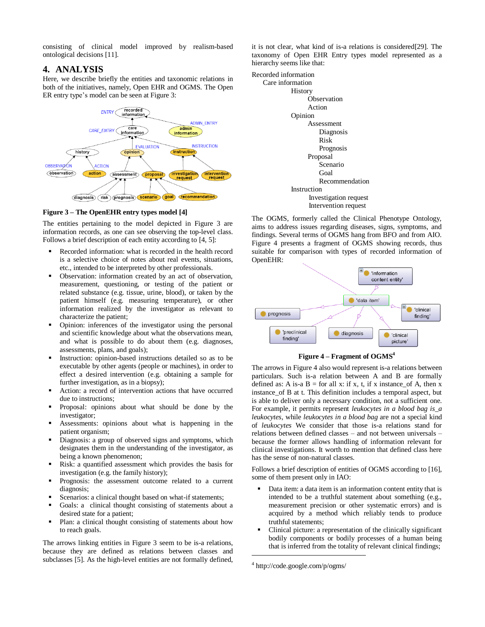consisting of clinical model improved by realism-based ontological decisions [11].

#### **4. ANALYSIS**

Here, we describe briefly the entities and taxonomic relations in both of the initiatives, namely, Open EHR and OGMS. The Open ER entry type's model can be seen at Figure 3:



**Figure 3 – The OpenEHR entry types model [4]**

The entities pertaining to the model depicted in Figure 3 are information records, as one can see observing the top-level class. Follows a brief description of each entity according to [4, 5]:

- Recorded information: what is recorded in the health record is a selective choice of notes about real events, situations, etc., intended to be interpreted by other professionals.
- Observation: information created by an act of observation, measurement, questioning, or testing of the patient or related substance (e.g. tissue, urine, blood), or taken by the patient himself (e.g. measuring temperature), or other information realized by the investigator as relevant to characterize the patient;
- Opinion: inferences of the investigator using the personal and scientific knowledge about what the observations mean, and what is possible to do about them (e.g. diagnoses, assessments, plans, and goals);
- Instruction: opinion-based instructions detailed so as to be executable by other agents (people or machines), in order to effect a desired intervention (e.g. obtaining a sample for further investigation, as in a biopsy);
- Action: a record of intervention actions that have occurred due to instructions;
- Proposal: opinions about what should be done by the investigator;
- Assessments: opinions about what is happening in the patient organism;
- Diagnosis: a group of observed signs and symptoms, which designates them in the understanding of the investigator, as being a known phenomenon;
- Risk: a quantified assessment which provides the basis for investigation (e.g. the family history);
- Prognosis: the assessment outcome related to a current diagnosis;
- Scenarios: a clinical thought based on what-if statements;
- Goals: a clinical thought consisting of statements about a desired state for a patient;
- Plan: a clinical thought consisting of statements about how to reach goals.

The arrows linking entities in Figure 3 seem to be is-a relations, because they are defined as relations between classes and subclasses [5]. As the high-level entities are not formally defined, it is not clear, what kind of is-a relations is considered[29]. The taxonomy of Open EHR Entry types model represented as a hierarchy seems like that:



The OGMS, formerly called the Clinical Phenotype Ontology, aims to address issues regarding diseases, signs, symptoms, and findings. Several terms of OGMS hang from BFO and from AIO. Figure 4 presents a fragment of OGMS showing records, thus suitable for comparison with types of recorded information of OpenEHR:



**Figure 4 – Fragment of OGMS 4**

The arrows in Figure 4 also would represent is-a relations between particulars. Such is-a relation between A and B are formally defined as: A is-a  $B =$  for all x: if x, t, if x instance of A, then x instance\_of B at t. This definition includes a temporal aspect, but is able to deliver only a necessary condition, not a sufficient one. For example, it permits represent *leukocytes in a blood bag is\_a leukocytes*, while *leukocytes in a blood bag* are not a special kind of *leukocytes* We consider that those is-a relations stand for relations between defined classes – and not between universals – because the former allows handling of information relevant for clinical investigations. It worth to mention that defined class here has the sense of non-natural classes.

Follows a brief description of entities of OGMS according to [16], some of them present only in IAO:

- Data item: a data item is an information content entity that is intended to be a truthful statement about something (e.g., measurement precision or other systematic errors) and is acquired by a method which reliably tends to produce truthful statements;
- Clinical picture: a representation of the clinically significant bodily components or bodily processes of a human being that is inferred from the totality of relevant clinical findings;

4 http://code.google.com/p/ogms/

 $\overline{a}$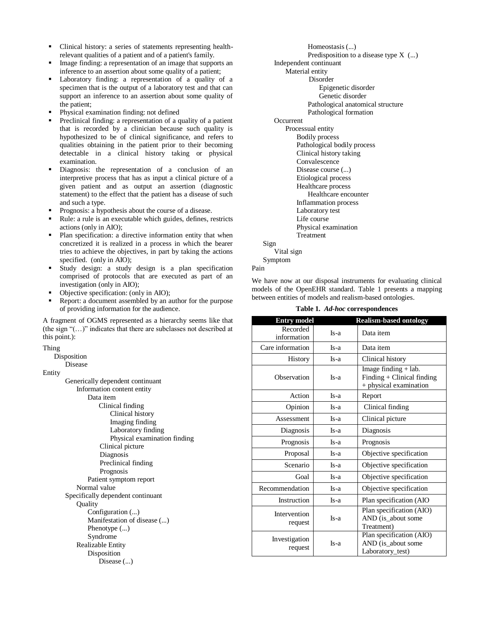- Clinical history: a series of statements representing healthrelevant qualities of a patient and of a patient's family.
- Image finding: a representation of an image that supports an inference to an assertion about some quality of a patient;
- Laboratory finding: a representation of a quality of a specimen that is the output of a laboratory test and that can support an inference to an assertion about some quality of the patient;
- **Physical examination finding: not defined**
- Preclinical finding: a representation of a quality of a patient that is recorded by a clinician because such quality is hypothesized to be of clinical significance, and refers to qualities obtaining in the patient prior to their becoming detectable in a clinical history taking or physical examination.
- Diagnosis: the representation of a conclusion of an interpretive process that has as input a clinical picture of a given patient and as output an assertion (diagnostic statement) to the effect that the patient has a disease of such and such a type.
- Prognosis: a hypothesis about the course of a disease.
- Rule: a rule is an executable which guides, defines, restricts actions (only in AIO);
- **Plan specification: a directive information entity that when** concretized it is realized in a process in which the bearer tries to achieve the objectives, in part by taking the actions specified. (only in AIO);
- Study design: a study design is a plan specification comprised of protocols that are executed as part of an investigation (only in AIO);
- Objective specification: (only in AIO);
- Report: a document assembled by an author for the purpose of providing information for the audience.

A fragment of OGMS represented as a hierarchy seems like that (the sign " $(...)$ " indicates that there are subclasses not described at this point.):

| Disposition<br><b>Disease</b><br>Entity<br>Generically dependent continuant |     |
|-----------------------------------------------------------------------------|-----|
|                                                                             |     |
|                                                                             |     |
|                                                                             |     |
|                                                                             |     |
| Information content entity                                                  |     |
| Data item                                                                   |     |
| Clinical finding                                                            |     |
| Clinical history                                                            |     |
| Imaging finding                                                             |     |
| Laboratory finding                                                          |     |
| Physical examination finding                                                |     |
| Clinical picture                                                            |     |
| Diagnosis                                                                   |     |
| Preclinical finding                                                         |     |
| Prognosis                                                                   |     |
| Patient symptom report                                                      |     |
| Normal value                                                                | Req |
| Specifically dependent continuant                                           |     |
| Quality                                                                     |     |
| Configuration ()                                                            |     |
| Manifestation of disease ()                                                 |     |
| Phenotype $(\ldots)$                                                        |     |
| Syndrome                                                                    |     |
| Realizable Entity                                                           |     |
| Disposition                                                                 |     |
| Disease ()                                                                  |     |

Homeostasis (...)

- Predisposition to a disease type X (...)
- Independent continuant

Material entity

Disorder

Epigenetic disorder

- Genetic disorder
- Pathological anatomical structure
- Pathological formation

**Occurrent** 

| Processual entity           |
|-----------------------------|
| <b>Bodily process</b>       |
| Pathological bodily process |
| Clinical history taking     |
| Convalescence               |
| Disease course ()           |
| Etiological process         |
| Healthcare process          |
| Healthcare encounter        |
| Inflammation process        |
| Laboratory test             |
| Life course                 |
| Physical examination        |
| Treatment                   |
|                             |

Sign

Vital sign

Symptom

Pain

We have now at our disposal instruments for evaluating clinical models of the OpenEHR standard. Table 1 presents a mapping between entities of models and realism-based ontologies.

|  |  | Table 1. Ad-hoc correspondences |
|--|--|---------------------------------|
|--|--|---------------------------------|

| <b>Entry model</b>       |        | <b>Realism-based ontology</b>                                                  |
|--------------------------|--------|--------------------------------------------------------------------------------|
| Recorded<br>information  | $Is-a$ | Data item                                                                      |
| Care information         | $Is-a$ | Data item                                                                      |
| <b>History</b>           | $Is-a$ | Clinical history                                                               |
| Observation              | Is-a   | Image finding $+$ lab.<br>Finding + Clinical finding<br>+ physical examination |
| Action                   | Is-a   | Report                                                                         |
| Opinion                  | $Is-a$ | Clinical finding                                                               |
| Assessment               | $Is-a$ | Clinical picture                                                               |
| Diagnosis                | $Is-a$ | Diagnosis                                                                      |
| Prognosis                | $Is-a$ | Prognosis                                                                      |
| Proposal                 | $Is-a$ | Objective specification                                                        |
| Scenario                 | $Is-a$ | Objective specification                                                        |
| Goal                     | $Is-a$ | Objective specification                                                        |
| Recommendation           | $Is-a$ | Objective specification                                                        |
| Instruction              | $Is-a$ | Plan specification (AIO                                                        |
| Intervention<br>request  | $Is-a$ | Plan specification (AIO)<br>AND (is_about some<br>Treatment)                   |
| Investigation<br>request | $Is-a$ | Plan specification (AIO)<br>AND (is_about some<br>Laboratory_test)             |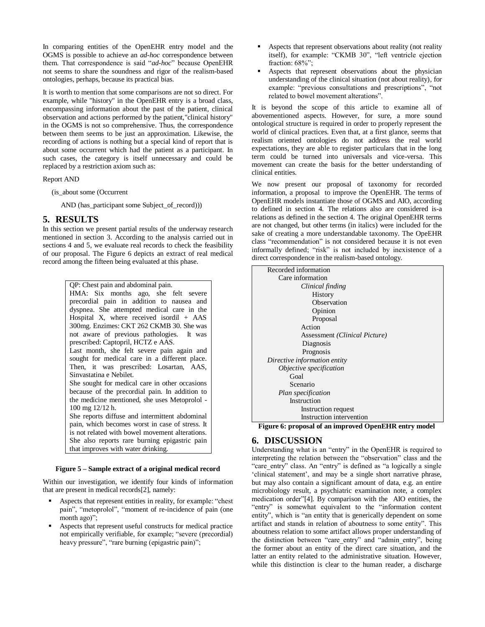In comparing entities of the OpenEHR entry model and the OGMS is possible to achieve an *ad-hoc* correspondence between them. That correspondence is said "*ad-hoc*" because OpenEHR not seems to share the soundness and rigor of the realism-based ontologies, perhaps, because its practical bias.

It is worth to mention that some comparisons are not so direct. For example, while "history" in the OpenEHR entry is a broad class, encompassing information about the past of the patient, clinical observation and actions performed by the patient,"clinical history" in the OGMS is not so comprehensive. Thus, the correspondence between them seems to be just an approximation. Likewise, the recording of actions is nothing but a special kind of report that is about some occurrent which had the patient as a participant. In such cases, the category is itself unnecessary and could be replaced by a restriction axiom such as:

#### Report AND

(is\_about some (Occurrent

AND (has\_participant some Subject\_of\_record)))

# **5. RESULTS**

In this section we present partial results of the underway research mentioned in section 3. According to the analysis carried out in sections 4 and 5, we evaluate real records to check the feasibility of our proposal. The Figure 6 depicts an extract of real medical record among the fifteen being evaluated at this phase.

> QP: Chest pain and abdominal pain. HMA: Six months ago, she felt severe precordial pain in addition to nausea and dyspnea. She attempted medical care in the Hospital X, where received isordil + AAS 300mg. Enzimes: CKT 262 CKMB 30. She was not aware of previous pathologies. It was prescribed: Captopril, HCTZ e AAS. Last month, she felt severe pain again and sought for medical care in a different place. Then, it was prescribed: Losartan, AAS, Sinvastatina e Nebilet. She sought for medical care in other occasions because of the precordial pain. In addition to the medicine mentioned, she uses Metoprolol - 100 mg 12/12 h. She reports diffuse and intermittent abdominal pain, which becomes worst in case of stress. It is not related with bowel movement alterations. She also reports rare burning epigastric pain that improves with water drinking.

#### **Figure 5 – Sample extract of a original medical record**

Within our investigation, we identify four kinds of information that are present in medical records[2], namely:

- Aspects that represent entities in reality, for example: "chest pain", "metoprolol", "moment of re-incidence of pain (one month ago)";
- Aspects that represent useful constructs for medical practice not empirically verifiable, for example; "severe (precordial) heavy pressure", "rare burning (epigastric pain)";
- Aspects that represent observations about reality (not reality itself), for example: "CKMB 30", "left ventricle ejection fraction:  $68\%$ ";
- Aspects that represent observations about the physician understanding of the clinical situation (not about reality), for example: "previous consultations and prescriptions", "not related to bowel movement alterations".

It is beyond the scope of this article to examine all of abovementioned aspects. However, for sure, a more sound ontological structure is required in order to properly represent the world of clinical practices. Even that, at a first glance, seems that realism oriented ontologies do not address the real world expectations, they are able to register particulars that in the long term could be turned into universals and vice-versa. This movement can create the basis for the better understanding of clinical entities.

We now present our proposal of taxonomy for recorded information, a proposal to improve the OpenEHR. The terms of OpenEHR models instantiate those of OGMS and AIO, according to defined in section 4. The relations also are considered is-a relations as defined in the section 4. The original OpenEHR terms are not changed, but other terms (in italics) were included for the sake of creating a more understandable taxonomy. The OpeEHR class "recommendation" is not considered because it is not even informally defined; "risk" is not included by inexistence of a direct correspondence in the realism-based ontology.

| Recorded information                                  |  |  |
|-------------------------------------------------------|--|--|
| Care information                                      |  |  |
| Clinical finding                                      |  |  |
| History                                               |  |  |
| Observation                                           |  |  |
| Opinion                                               |  |  |
| Proposal                                              |  |  |
| Action                                                |  |  |
| Assessment <i>(Clinical Picture)</i>                  |  |  |
| Diagnosis                                             |  |  |
| Prognosis                                             |  |  |
| Directive information entity                          |  |  |
| <i>Objective specification</i>                        |  |  |
| Goal                                                  |  |  |
| Scenario                                              |  |  |
| Plan specification                                    |  |  |
| Instruction                                           |  |  |
| Instruction request                                   |  |  |
| Instruction intervention                              |  |  |
| Figure 6: proposal of an improved OpenFHR entry model |  |  |

**Figure 6: proposal of an improved OpenEHR entry model**

# **6. DISCUSSION**

Understanding what is an "entry" in the OpenEHR is required to interpreting the relation between the "observation" class and the "care\_entry" class. An "entry" is defined as "a logically a single ‗clinical statement', and may be a single short narrative phrase, but may also contain a significant amount of data, e.g. an entire microbiology result, a psychiatric examination note, a complex medication order"[4]. By comparison with the AIO entities, the "entry" is somewhat equivalent to the "information content entity", which is "an entity that is generically dependent on some artifact and stands in relation of aboutness to some entity". This aboutness relation to some artifact allows proper understanding of the distinction between "care\_entry" and "admin\_entry", being the former about an entity of the direct care situation, and the latter an entity related to the administrative situation. However, while this distinction is clear to the human reader, a discharge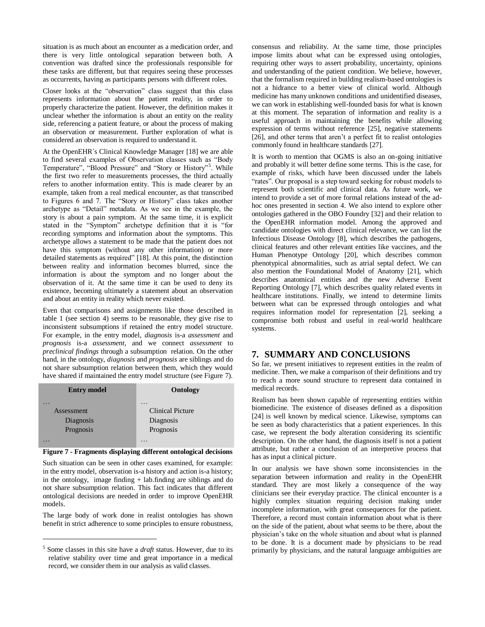situation is as much about an encounter as a medication order, and there is very little ontological separation between both. A convention was drafted since the professionals responsible for these tasks are different, but that requires seeing these processes as occurrents, having as participants persons with different roles.

Closer looks at the "observation" class suggest that this class represents information about the patient reality, in order to properly characterize the patient. However, the definition makes it unclear whether the information is about an entity on the reality side, referencing a patient feature, or about the process of making an observation or measurement. Further exploration of what is considered an observation is required to understand it.

At the OpenEHR´s Clinical Knowledge Manager [18] we are able to find several examples of Observation classes such as "Body Temperature", "Blood Pressure" and "Story or History"<sup>5</sup>. While the first two refer to measurements processes, the third actually refers to another information entity. This is made clearer by an example, taken from a real medical encounter, as that transcribed to Figures 6 and 7. The "Story or History" class takes another archetype as "Detail" metadata. As we see in the example, the story is about a pain symptom. At the same time, it is explicit stated in the "Symptom" archetype definition that it is "for recording symptoms and information about the symptoms. This archetype allows a statement to be made that the patient does not have this symptom (without any other information) or more detailed statements as required" [18]. At this point, the distinction between reality and information becomes blurred, since the information is about the symptom and no longer about the observation of it. At the same time it can be used to deny its existence, becoming ultimately a statement about an observation and about an entity in reality which never existed.

Even that comparisons and assignments like those described in table 1 (see section 4) seems to be reasonable, they give rise to inconsistent subsumptions if retained the entry model structure. For example, in the entry model, *diagnosis* is-a *assessment* and *prognosis* is-a *assessment*, and we connect *assessment* to *preclinical findings* through a subsumption relation. On the other hand, in the ontology, *diagnosis* and *prognosis* are siblings and do not share subsumption relation between them, which they would have shared if maintained the entry model structure (see Figure 7).

| <b>Entry model</b> | Ontology                |
|--------------------|-------------------------|
| .                  | $\ddot{\phantom{0}}$    |
| Assessment         | <b>Clinical Picture</b> |
| Diagnosis          | Diagnosis               |
| Prognosis          | Prognosis               |
|                    |                         |



Such situation can be seen in other cases examined, for example: in the entry model, observation is-a history and action is-a history; in the ontology, image finding  $+$  lab.finding are siblings and do not share subsumption relation. This fact indicates that different ontological decisions are needed in order to improve OpenEHR models.

The large body of work done in realist ontologies has shown benefit in strict adherence to some principles to ensure robustness,

 $\overline{a}$ 

consensus and reliability. At the same time, those principles impose limits about what can be expressed using ontologies, requiring other ways to assert probability, uncertainty, opinions and understanding of the patient condition. We believe, however, that the formalism required in building realism-based ontologies is not a hidrance to a better view of clinical world. Although medicine has many unknown conditions and unidentified diseases, we can work in establishing well-founded basis for what is known at this moment. The separation of information and reality is a useful approach in maintaining the benefits while allowing expression of terms without reference [25], negative statements [26], and other terms that aren't a perfect fit to realist ontologies commonly found in healthcare standards [27].

It is worth to mention that OGMS is also an on-going initiative and probably it will better define some terms. This is the case, for example of risks, which have been discussed under the labels "rates". Our proposal is a step toward seeking for robust models to represent both scientific and clinical data. As future work, we intend to provide a set of more formal relations instead of the adhoc ones presented in section 4. We also intend to explore other ontologies gathered in the OBO Foundry [32] and their relation to the OpenEHR information model. Among the approved and candidate ontologies with direct clinical relevance, we can list the Infectious Disease Ontology [8], which describes the pathogens, clinical features and other relevant entities like vaccines, and the Human Phenotype Ontology [20], which describes common phenotypical abnormalities, such as atrial septal defect. We can also mention the Foundational Model of Anatomy [21], which describes anatomical entities and the new Adverse Event Reporting Ontology [7], which describes quality related events in healthcare institutions. Finally, we intend to determine limits between what can be expressed through ontologies and what requires information model for representation [2], seeking a compromise both robust and useful in real-world healthcare systems.

# **7. SUMMARY AND CONCLUSIONS**

So far, we present initiatives to represent entities in the realm of medicine. Then, we make a comparison of their definitions and try to reach a more sound structure to represent data contained in medical records.

Realism has been shown capable of representing entities within biomedicine. The existence of diseases defined as a disposition [24] is well known by medical science. Likewise, symptoms can be seen as body characteristics that a patient experiences. In this case, we represent the body alteration considering its scientific description. On the other hand, the diagnosis itself is not a patient attribute, but rather a conclusion of an interpretive process that has as input a clinical picture.

In our analysis we have shown some inconsistencies in the separation between information and reality in the OpenEHR standard. They are most likely a consequence of the way clinicians see their everyday practice. The clinical encounter is a highly complex situation requiring decision making under incomplete information, with great consequences for the patient. Therefore, a record must contain information about what is there on the side of the patient, about what seems to be there, about the physician's take on the whole situation and about what is planned to be done. It is a document made by physicians to be read primarily by physicians, and the natural language ambiguities are

<sup>5</sup> Some classes in this site have a *draft* status. However, due to its relative stability over time and great importance in a medical record, we consider them in our analysis as valid classes.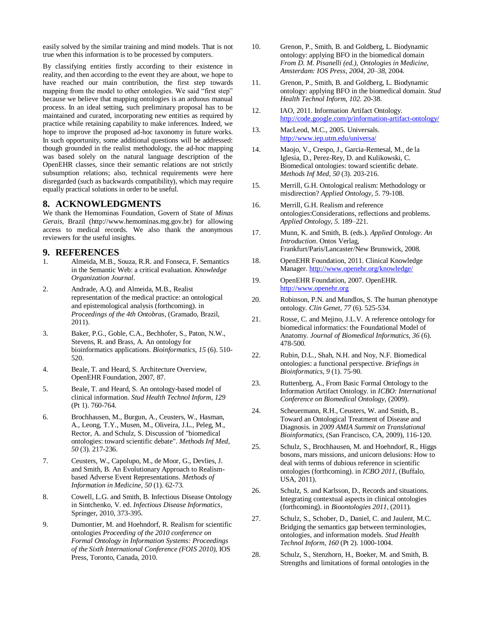easily solved by the similar training and mind models. That is not true when this information is to be processed by computers.

By classifying entities firstly according to their existence in reality, and then according to the event they are about, we hope to have reached our main contribution, the first step towards mapping from the model to other ontologies. We said "first step" because we believe that mapping ontologies is an arduous manual process. In an ideal setting, such preliminary proposal has to be maintained and curated, incorporating new entities as required by practice while retaining capability to make inferences. Indeed, we hope to improve the proposed ad-hoc taxonomy in future works. In such opportunity, some additional questions will be addressed: though grounded in the realist methodology, the ad-hoc mapping was based solely on the natural language description of the OpenEHR classes, since their semantic relations are not strictly subsumption relations; also, technical requirements were here disregarded (such as backwards compatibility), which may require equally practical solutions in order to be useful.

#### **8. ACKNOWLEDGMENTS**

We thank the Hemominas Foundation, Govern of State of *Minas Gerais*, Brazil (http://www.hemominas.mg.gov.br) for allowing access to medical records. We also thank the anonymous reviewers for the useful insights.

#### **9. REFERENCES**

- 1. Almeida, M.B., Souza, R.R. and Fonseca, F. Semantics in the Semantic Web: a critical evaluation. *Knowledge Organization Journal*.
- 2. Andrade, A.Q. and Almeida, M.B., Realist representation of the medical practice: an ontological and epistemological analysis (forthcoming). in *Proceedings of the 4th Ontobras*, (Gramado, Brazil, 2011).
- 3. Baker, P.G., Goble, C.A., Bechhofer, S., Paton, N.W., Stevens, R. and Brass, A. An ontology for bioinformatics applications. *Bioinformatics*, *15* (6). 510- 520.
- 4. Beale, T. and Heard, S. Architecture Overview, OpenEHR Foundation, 2007, 87.
- 5. Beale, T. and Heard, S. An ontology-based model of clinical information. *Stud Health Technol Inform*, *129* (Pt 1). 760-764.
- 6. Brochhausen, M., Burgun, A., Ceusters, W., Hasman, A., Leong, T.Y., Musen, M., Oliveira, J.L., Peleg, M., Rector, A. and Schulz, S. Discussion of "biomedical ontologies: toward scientific debate". *Methods Inf Med*, *50* (3). 217-236.
- 7. Ceusters, W., Capolupo, M., de Moor, G., Devlies, J. and Smith, B. An Evolutionary Approach to Realismbased Adverse Event Representations. *Methods of Information in Medicine*, *50* (1). 62-73.
- 8. Cowell, L.G. and Smith, B. Infectious Disease Ontology in Sintchenko, V. ed. *Infectious Disease Informatics*, Springer, 2010, 373-395.
- 9. Dumontier, M. and Hoehndorf, R. Realism for scientific ontologies *Proceeding of the 2010 conference on Formal Ontology in Information Systems: Proceedings of the Sixth International Conference (FOIS 2010)*, IOS Press, Toronto, Canada, 2010.
- 10. Grenon, P., Smith, B. and Goldberg, L. Biodynamic ontology: applying BFO in the biomedical domain *From D. M. Pisanelli (ed.), Ontologies in Medicine, Amsterdam: IOS Press, 2004, 20–38*, 2004.
- 11. Grenon, P., Smith, B. and Goldberg, L. Biodynamic ontology: applying BFO in the biomedical domain. *Stud Health Technol Inform*, *102*. 20-38.
- 12. IAO, 2011. Information Artifact Ontology. <http://code.google.com/p/information-artifact-ontology/>
- 13. MacLeod, M.C., 2005. Universals. <http://www.iep.utm.edu/universa/>
- 14. Maojo, V., Crespo, J., Garcia-Remesal, M., de la Iglesia, D., Perez-Rey, D. and Kulikowski, C. Biomedical ontologies: toward scientific debate. *Methods Inf Med*, *50* (3). 203-216.
- 15. Merrill, G.H. Ontological realism: Methodology or misdirection? *Applied Ontology*, *5*. 79-108.
- 16. Merrill, G.H. Realism and reference ontologies:Considerations, reflections and problems. *Applied Ontology*, *5*. 189–221.
- 17. Munn, K. and Smith, B. (eds.). *Applied Ontology. An Introduction*. Ontos Verlag, Frankfurt/Paris/Lancaster/New Brunswick, 2008.
- 18. OpenEHR Foundation, 2011. Clinical Knowledge Manager[. http://www.openehr.org/knowledge/](http://www.openehr.org/knowledge/)
- 19. OpenEHR Foundation, 2007. OpenEHR. [http://www.openehr.org](http://www.openehr.org/)
- 20. Robinson, P.N. and Mundlos, S. The human phenotype ontology. *Clin Genet*, *77* (6). 525-534.
- 21. Rosse, C. and Mejino, J.L.V. A reference ontology for biomedical informatics: the Foundational Model of Anatomy. *Journal of Biomedical Informatics*, *36* (6). 478-500.
- 22. Rubin, D.L., Shah, N.H. and Noy, N.F. Biomedical ontologies: a functional perspective. *Briefings in Bioinformatics*, *9* (1). 75-90.
- 23. Ruttenberg, A., From Basic Formal Ontology to the Information Artifact Ontology. in *ICBO: International Conference on Biomedical Ontology*, (2009).
- 24. Scheuermann, R.H., Ceusters, W. and Smith, B., Toward an Ontological Treatment of Disease and Diagnosis. in *2009 AMIA Summit on Translational Bioinformatics*, (San Francisco, CA, 2009), 116-120.
- 25. Schulz, S., Brochhausen, M. and Hoehndorf, R., Higgs bosons, mars missions, and unicorn delusions: How to deal with terms of dubious reference in scientific ontologies (forthcoming). in *ICBO 2011*, (Buffalo, USA, 2011).
- 26. Schulz, S. and Karlsson, D., Records and situations. Integrating contextual aspects in clinical ontologies (forthcoming). in *Bioontologies 2011*, (2011).
- 27. Schulz, S., Schober, D., Daniel, C. and Jaulent, M.C. Bridging the semantics gap between terminologies, ontologies, and information models. *Stud Health Technol Inform*, *160* (Pt 2). 1000-1004.
- 28. Schulz, S., Stenzhorn, H., Boeker, M. and Smith, B. Strengths and limitations of formal ontologies in the